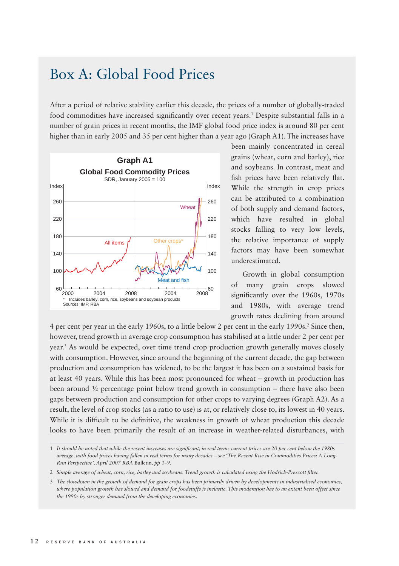## Box A: Global Food Prices

After a period of relative stability earlier this decade, the prices of a number of globally-traded food commodities have increased significantly over recent years.<sup>1</sup> Despite substantial falls in a number of grain prices in recent months, the IMF global food price index is around 80 per cent higher than in early 2005 and 35 per cent higher than a year ago (Graph A1). The increases have



been mainly concentrated in cereal grains (wheat, corn and barley), rice and soybeans. In contrast, meat and fish prices have been relatively flat. While the strength in crop prices can be attributed to a combination of both supply and demand factors, which have resulted in global stocks falling to very low levels, the relative importance of supply factors may have been somewhat underestimated.

Growth in global consumption of many grain crops slowed significantly over the 1960s, 1970s and 1980s, with average trend growth rates declining from around

4 per cent per year in the early 1960s, to a little below 2 per cent in the early 1990s.2 Since then, however, trend growth in average crop consumption has stabilised at a little under 2 per cent per year.3 As would be expected, over time trend crop production growth generally moves closely with consumption. However, since around the beginning of the current decade, the gap between production and consumption has widened, to be the largest it has been on a sustained basis for at least 40 years. While this has been most pronounced for wheat – growth in production has been around ½ percentage point below trend growth in consumption – there have also been gaps between production and consumption for other crops to varying degrees (Graph A2). As a result, the level of crop stocks (as a ratio to use) is at, or relatively close to, its lowest in 40 years. While it is difficult to be definitive, the weakness in growth of wheat production this decade looks to have been primarily the result of an increase in weather-related disturbances, with

<sup>1</sup> *It should be noted that while the recent increases are signifi cant, in real terms current prices are 20 per cent below the 1980s average, with food prices having fallen in real terms for many decades – see 'The Recent Rise in Commodities Prices: A Long-Run Perspective', April 2007 RBA* Bulletin*, pp 1–9.*

<sup>2</sup> Simple average of wheat, corn, rice, barley and soybeans. Trend growth is calculated using the Hodrick-Prescott filter.

<sup>3</sup> *The slowdown in the growth of demand for grain crops has been primarily driven by developments in industrialised economies, where population growth has slowed and demand for foodstuffs is inelastic. This moderation has to an extent been offset since the 1990s by stronger demand from the developing economies.*